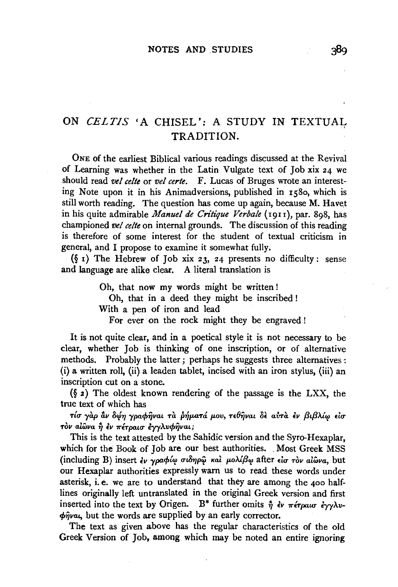# ON *CELTIS* 'A CHISEL': A STUDY IN TEXTUAL TRADITION.

ONE of the earliest Biblical various readings discussed at the Revival of Learning was whether in the Latin Vulgate text of Job xix 24 we should read *vet celte* or *vet certe.* F. Lucas of Bruges wrote an interesting Note upon it in his Animadversions, published in 1580, which is still worth reading. The question has come up again, because M. Havet in his quite admirable *Manuel de Critique Verbale* (1911), par. 898, has championed *vet celte* on internal grounds. The discussion of this reading is therefore of some interest for the student of textual criticism in general, and I propose to examine it somewhat fully.

 $(\S$  1) The Hebrew of Job xix 23, 24 presents no difficulty: sense and language are alike clear. A literal translation is

Oh, that now my words might be written !

Oh, that in a deed they might be inscribed !

With a pen of iron and lead

For ever on the rock might they be engraved !

It is not quite clear, and in a poetical style it is not necessary to be clear, whether Job is thinking of one inscription, or of alternative methods. Probably the latter; perhaps he suggests three alternatives : (i) a written roll, (ii) a leaden tablet, incised with an iron stylus, (iii) an inscription cut on a stone.

(§ 2) The oldest known rendering of the passage is the LXX, the true text of which has

 $\tau$ ίσ γαρ αν δώη γραφήναι τα ρήματά μου, τεθήναι δε αύτα εν βιβλίω είσ  $\tau$ <sup>*ov al*ω*va ή εν πέτραισ εγγλυφήναι;*</sup>

This is the text attested by the Sahidic version and the Syro-Hexaplar, which for the Book of Job are our best authorities. Most Greek MSS (including B) insert *εν γραφίω σιδηρ*ώ και μολίβω after *είσ τον αιώνα*, but our Hexaplar authorities expressly warn us to read these words under asterisk, i. e. we are to understand that they are among the 400 halflines originally left untranslated in the original Greek version and first inserted into the text by Origen. B<sup>\*</sup> further omits  $\hat{\eta}$  *iv*  $\pi \epsilon \tau \rho a u \sigma \epsilon \gamma \gamma \lambda v$ - $\phi$ *i* $\psi$ *ut* the words are supplied by an early corrector.

The text as given above has the regular characteristics of the old Greek Version of Job, among which may be noted an entire ignoring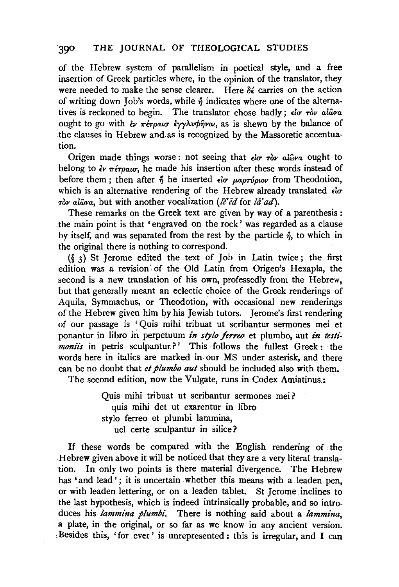## 390 THE JOURNAL OF THEOLOGICAL STUDIES

of the Hebrew system of parallelism in poetical style, and a free insertion of Greek particles where, in the opinion of the translator, they were needed to make the sense clearer. Here  $\delta \epsilon$  carries on the action of writing down Job's words, while  $\eta$  indicates where one of the alternatives is reckoned to begin. The translator chose badly; *io ròv al*ŵva ought to go with  $\epsilon_V$   $\pi \epsilon_T \rho a \sigma \epsilon_V \gamma \lambda_V \phi \hat{\eta} \nu a_l$ , as is shewn by the balance of the clauses in Hebrew and.as is recognized by the Massoretic accentuation.

Origen made things worse: not seeing that  $\epsilon \omega \to \infty$  alway ought to belong to  $\partial y$   $\pi \partial \alpha \sigma$ , he made his insertion after these words instead of before them ; then after  $\eta$  he inserted  $\epsilon \alpha$   $\mu$ apropiov from Theodotion, which is an alternative rendering of the Hebrew already translated  $\epsilon \alpha$ *Tov allava, but with another vocalization (le<sup>ri</sup>ed for la<sup>t</sup> ad).* 

These remarks on the Greek text are given by way of a parenthesis : the main point is that 'engraved on the rock' was regarded as a clause by itself, and was separated from the rest by the particle  $\eta$ , to which in the original there is nothing to correspond.

(§ 3) St Jerome edited the text of Job in Latin twice; the first edition was a revision· of the Old Latin from Origen's Hexapla, the second is a new translation of his own, professedly from the Hebrew, but that generally meant an eclectic choice of the Greek renderings of Aquila, Symmachus, or Theodotion; with occasional new renderings of the Hebrew given him by his Jewish tutors. Jerome's first rendering of our passage is ' Quis mihi tribuat ut scribantur sermones mei et ponantur in libro in perpetuum *in slylo ferreo* et plumbo, aut *in testimoniis* in petris sculpantur?' This follows the fullest Greek: the words here in italics are marked in our MS under asterisk, and there can be no doubt that *et plumbo aut* should be included also with them.

The second edition, now the Vulgate, runs.in Codex Amiatinus.:

Quis mihi tribuat ut scribantur sermones mei? quis mihi det ut exarentur in libro stylo ferreo et plumbi lammina, uel certe sculpantur in silice?

If these words be compared with the English rendering of the Hebrew given above it will be noticed that they are a very literal translation. In only two points is there material divergence. The Hebrew has 'and lead'; it is uncertain whether this means with a leaden pen, or with leaden lettering, or on a leaden tablet. St Jerome inclines to the last hypothesis, which is indeed intrinsically probable, and so introduces his *lammina plumbi.* There is nothing said about a *lammina,*  a plate, in the original, or so far as we know in any ancient version. ,Besides this, 'for ever' is unrepresented: this is irregular, and I can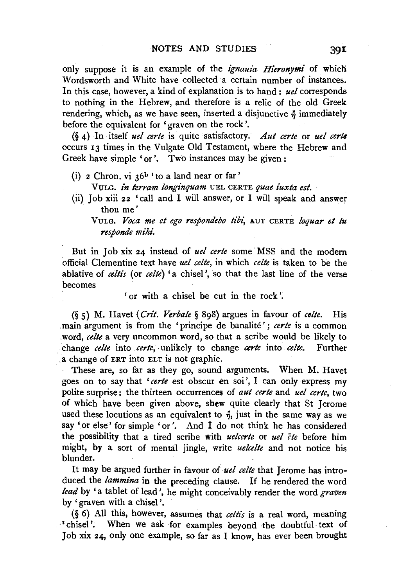only suppose it is an example of the *ignauia Hieronymi* of which Wordsworth and White have collected a certain number of instances. In this case, however, a kind of explanation is to hand : *uel* corresponds to nothing in the Hebrew, and therefore is a relic of the old Greek rendering, which, as we have seen, inserted a disjunctive  $\eta$  immediately before the equivalent for' graven on the rock'.

(§ 4) In itself *uel eerie* is quite satisfactory. *Aul eerie* or *uel eerie*  occurs 13 times in the Vulgate Old Testament, where the Hebrew and Greek have simple 'or'. Two instances may be given:

- (i) 2 Chron. vi  $36<sup>b</sup>$  to a land near or far'
	- Yr;LG. *in terram longinquam* UEL CERTE *quae iuxta est.*
- (ii) Job xiii 22 'call and I will answer, or I will speak and answer thou me'
	- VULG. Voca me et ego respondebo tibi, AUT CERTE *loquar et tu responde mihi.*

But in Job xix 24 instead of *uel certe* some MSS and the modern official Clementine text have *uel eelle,* in which *celle* is taken to be the ablative of *celtis* (or *celte*) 'a chisel', so that the last line of the verse **becomes** 

'or with a chisel be cut in the rock'.

(§ 5) M. Havet *(Crit. Verbale* § 898) argues in favour of *eelle.* His main argument is from the 'principe de banalité'; *certe* is a common .word, *eelle* a very uncommon word, so that a scribe would be likely to change *eelte* into *eerie,* unlikely to change *eerie* into *eelte.* Further .a change of ERT into ELT is not graphic.

These are, so far as they go, sound arguments. When M. Havet goes on to say that *'eerie* est obscur en soi', I can only express my polite surprise : the thirteen occurrences of *aut eerie* and *uel eerie,* two of which have been given above, shew quite clearly that St Jerome used these locutions as an equivalent to  $\tilde{\eta}$ , just in the same way as we say 'or else' for simple 'or'. And I do not think he has considered the possibility that a tired scribe with *uelcerle* or *uel Cte* before him might, by a sort of mental jingle, write *uelcelte* and not notice his blunder.

It may be argued further in favour of *uel eelle* that Jerome has introduced the *lammina* in the preceding clause. If he rendered the word *lead* by 'a tablet of lead ', he might conceivably render the word *graven*  by 'graven with a chisel'.

(§ 6) All this, however, assumes that *eeltis* is a real word, meaning "chisel'. When we ask for examples beyond the doubtful text of Job xix 24, only one example, so far as I know, has ever been brought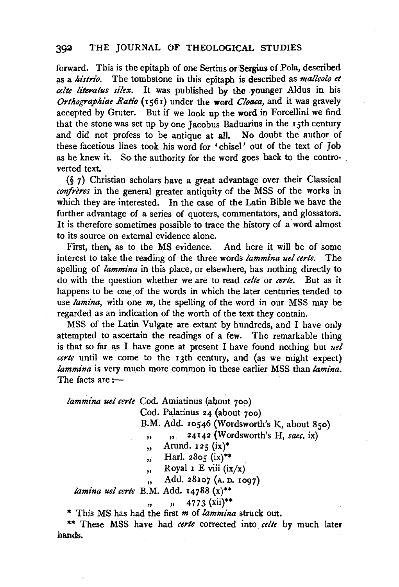#### 392 THE JOURNAL OF THEOLOGICAL STUDIES

forward. This is the epitaph of one Sertius or Sergius of Pola, described as a *histrio*. The tombstone in this epitaph is described as *malleolo et celte literatus silex*. It was published by the younger Aldus in his *Orthographiae Ratio* (1561) under the word *Cloaca,* and it was gravely accepted by Gruter. But if we look up the word in Forcellini we find that the stone was set up by one Jacobus Baduarius in the 15th century and did not profess to be antique at all. No doubt the author of these facetious lines took his word for 'chisel' out of the text of Joh as he knew it. So the authority for the word goes back to the controverted text.

(§ 7) Christian scholars have a great advantage over their Classical confreres in the general greater antiquity of the MSS of the works in which they are interested. In the case of the Latin Bible we have the further advantage of a series of quoters, commentators, and glossators. It is therefore sometimes possible to trace the history of a word almost to its source on external evidence alone.

First, then, as to the MS evidence. And here it will be of some interest to take the reading of the three words *lammina uel certe*. The spelling of *lammina* in this place, or elsewhere, has nothing directly to do with the question whether we are to read *celte* or *eerie.* But as it happens to be one of the words in which the later centuries tended to use *lamina,* with one *m,* the spelling of the word in our MSS may be regarded as an indication of the worth of the text they contain.

MSS of the Latin Vulgate are extant by hundreds, and I have only attempted to ascertain the readings of a few. The remarkable thing is that so far as I have gone at present I have found nothing but *uel eerie* until we come to the 13th century, and (as we might expect) *lammina* is very much more common in these earlier MSS than *lamina*.<br>
The facts are :-

*lammina uel eerie* Cod. Amiatinus (about 700)

Cod. Palatinus 24 (about 700)

B.M. Add. 10546 (Wordsworth's K, about 850)

,, ,, 24142 (Wordsworth's H, *saee.* ix)

- ,, Arund.  $125$  (ix)\*
- ,, Harl. 2805 (ix)\*\*

,, Royal 1 E viii  $(ix/x)$ 

,, Add. 28107 (A. D. 1097)

*lamina uel eerie* B.M. Add. 14788 (x)\*\*

 $\ddot{\phantom{0}}$ 

 $, 4773$  (xii)\*\*

\* This MS has had the first *m* of *lammina* struck out.

\*\* These MSS have had *eerie* corrected into *celte* by much later hands.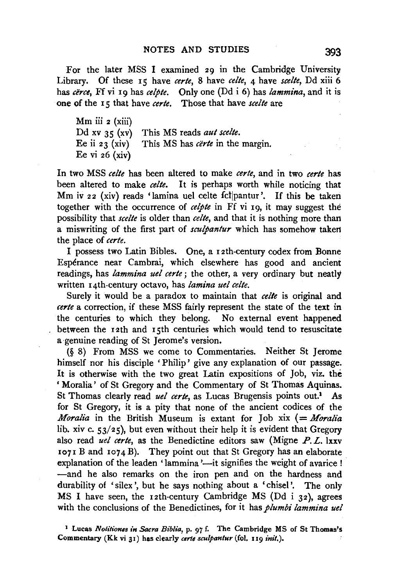For the later MSS I examined 29 in the Cambridge University Library. Of these 15 have *eerie,* 8 have *eelle,* 4 have *see/le,* Dd xiii 6 has *cërce*, Ff vi 19 has *celpte*. Only one (Dd i 6) has *lammina*, and it is one of the 15 that have *eerie.* Those that have *seelle* are

 $Mm$  iii  $\boldsymbol{z}$  (xiii) Dd xv  $35$  (xv) Ee ii  $23$  (xiv) Ee vi  $26$  (xiv) This MS reads *aul see/le.*  This MS has *certe* in the margin.

In two MSS *eelle* has been altered to make *eerte,* and in two *eerie* has been altered to make *celte*. It is perhaps worth while noticing that Mm iv 22 (xiv) reads 'lamina uel celte fctjpantur'. If this be taken together with the occurrence of *eelpte* in Ff vi 19, it may suggest the possibility that *seelle* is older than *eelle,* and that it is nothing more than a miswriting of the first part of *sculpantur* which has somehow taken the place of *eerie.* 

I possess two Latin Bibles. One, a 1 2th-century codex from Bonne Esperance near Cambrai, which elsewhere has good and ancient readings, has *lammina uel eerie* ; the other, a very ordinary but neatly written 14th-century octavo, has *lamina uel eelle.* 

Surely it would be a paradox to maintain that *eelle* is original and *eerie* a correction, if these MSS fairly represent the state of the text in the centuries to which they belong. No external event happened between the 12th and 15th centuries which would tend to resuscitate a genuine reading of St Jerome's version.

(§ 8) From MSS we come to Commentaries. Neither St Jerome himself nor his disciple ' Philip' give any explanation of our passage. It is otherwise with the two great Latin expositions of Job, viz. the ' Moralia' of St Gregory and the Commentary of St Thomas Aquinas. St Thomas clearly read *uel certe*, as Lucas Brugensis points out.<sup>1</sup> As for St Gregory, it is a pity that none of the ancient codices of the *Moralia* in the British Museum is extant for Job xix (= *Moralia* lib. xiv c.  $53/25$ , but even without their help it is evident that Gregory also read *uel eerie,* as the Benedictine editors saw (Migne *P. L.* lxxv  $107I B$  and  $1074 B$ ). They point out that St Gregory has an elaborate explanation of the leaden 'lammina'—it signifies the weight of avarice ! -and he also remarks on the iron pen and on the hardness and durability of 'silex ', but he says nothing about a 'chisel'. The only MS I have seen, the 12th-century Cambridge MS (Dd i 32), agrees with the conclusions of the Benedictines, for it has *plumbi lammina uel* 

<sup>&</sup>lt;sup>1</sup> Lucas *Notitiones in Sacra Biblia*, p. 97 f. The Cambridge MS of St Thomas's Commentary (Kk vi 31) has clearly *certe sculpantur* (fol. 119 *init.*).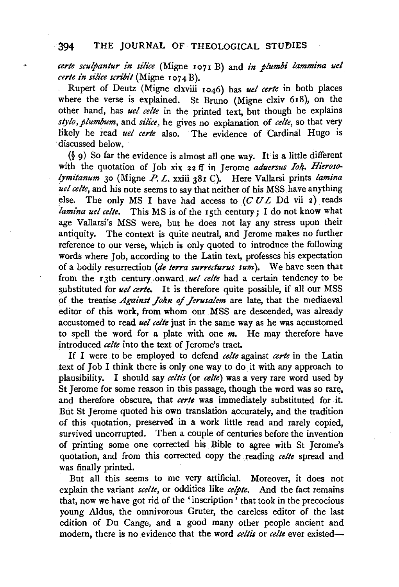#### 394 THE JOURNAL OF THEOLOGICAL STUDIES

*eerie seulpanlur in silii:e* (Migne 1071 B) and *in plumbi lammina uel certe in silice scribit* (Migne 1074 B).

Rupert of Deutz (Migne clxviii 1046) has *uel eerie* in both places where the verse is explained. St Bruno (Migne clxiv 618), on the other hand, has *uel celte* in the printed text, but though he explains *stylo, plumbum, and silice, he gives no explanation of <i>celte*, so that very likely he read *uel eerie* also. The evidence of Cardinal Hugo is discussed below.

 $(\S$  9) So far the evidence is almost all one way. It is a little different with the quotation of Job xix 22 ff in Jerome *aduersus Iolt. Hierosolymitanum* 30 (Migne *P. L.* xxiii 381 C). Here Vallarsi prints *lamina uel eelte,* and his note seems to say that neither of his MSS.have anything else. The only MS I have had access to *(CUL* Dd vii 2) reads *lamina uel eelte.* This MS is of the 15th century; I do not know what age Vallarsi's MSS were, but he does not lay any stress upon their antiquity. The context is quite neutral, and Jerome makes no further reference to our verse, which is only quoted to introduce the following words where Job, according to the Latin text, professes his expectation of a bodily resurrection *(de terra surrecturus sum).* We have seen that from the 13th century .onward. *uel eelte* had a certain tendency to be substituted for *uel certe*. It is therefore quite possible, if all our MSS of the treatise *Against John of Jerusalem* are late, that the mediaeval editor of this work, from whom our MSS are descended, was already accustomed to read *uel eelte* just in the same way as he was accustomed to spell the word for a plate with one *m.* He may therefore have introduced *celte* into the text of Jerome's tract.

If I were to be employed to defend *eelte* against *eerie* in the Latin text of  $\text{Job I}$  think there is only one way to do it with any approach to plausibility. I should say *eeltis* (or *eelle)* was a very rare word used by St Jerome for some reason in this passage, though the word was so rare, and therefore obscure, that *eerie* was immediately substituted for it. But St Jerome quoted his own translation accurately, and the tradition of this quotation, preserved in a work little read and rarely copied, survived uncorrupted. Then a couple of centuries before the invention of printing some one corrected his Bible to agree with St Jerome's quotation, and from this corrected copy the reading *eelle* spread and was finally printed.

But all this seems to me very artificial. Moreover, it does not explain the variant *see/le,* or oddities like *eelple.* And the fact remains that, now we have got rid of the 'inscription' that took in the precocious young Aldus, the omnivorous Gruter, the careless editor of the last edition of Du Cange, and a good many other people ancient and modern, there is no evidence that the word *celtis* or *celte* ever existed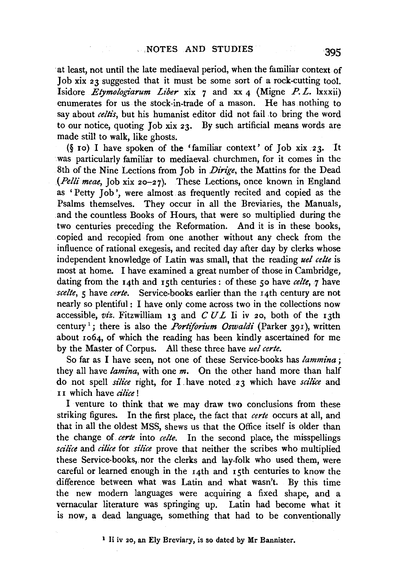at least, not until the late mediaeval period, when the familiar context of Job xix 23 suggested that it must be some sort of a rock-cutting tool. Isidore *Etymologiarum Liber* xix 7 and xx 4 (Migne *P.* L. lxxxii) enumerates for us the stock-in-trade of a mason. He has nothing to say about *celtis*, but his humanist editor did not fail to bring the word to our notice, quoting Job xix 23. By such artificial means words are made still to walk, like ghosts.

(§ 10) I have spoken of the 'familiar context' of Job xix 23. It was particularly familiar to mediaeval churchmen, for it comes in the 8th of the Nine Lections from Joh in *Dirige,* the Mattins for the Dead *(Petti meae,* Job xix 20-27). These Lections, once known in England as 'Petty Joh ', were almost. as frequently recited and copied as the Psalms themselves. They occur in all the Breviaries, the Manuals, and the countless Books of Hours, that were so multiplied during the two centuries preceding the Reformation. And it is in these books, copied and recopied from one another without any check from the influence of rational exegesis, and recited day after day by clerks whose independent knowledge of Latin was small, that the reading *uel eelle* is most at home. I have examined a great number of those in Cambridge, dating from the 14th and 15th centuries: of these 50 have *eelte,* 7 have *seelte, 5* have *eerie.* Service-books earlier than the 14th century are not nearly so plentiful : I have only come across two in the collections now accessible, *viz.* Fitzwilliam 13 and *CUL* Ii iv 20, both of the 13th century<sup>1</sup>; there is also the *Portiforium Oswaldi* (Parker 391), written about 1064, of which the reading has been kindly ascertained for me by the Master of Corpus. All these three have *uel eerie.* 

So far as I have seen, not one of these Service-books has *lammina* ; they all have *lamina,* with one *m.* On the other hand more than half do not spell *silice* right, for I. have .noted 23 which have *scilice* and 11 which have *ciliee* !

I venture to think that we may draw two conclusions from these striking figures. In the first place, the fact that *eerie* occurs at all, and that in all the oldest MSS, shews us that the Office itself is older than the change of. *eerie* into *eelte.* In the second place, the misspellings *sciliee* and *ci'li'ce* for *siliee* prove that neither the scribes who multiplied these Service-books, nor the clerks and lay-folk who used them, were careful or learned enough in the 14th and 15th centuries to know the difference between what was Latin and what wasn't. By this time the new modern languages were acquiring a fixed shape, and a vernacular literature was springing up. Latin had become what it is now, a dead language, something that had to be conventionally

1 Ii iv 20, an Ely Breviary, is so dated by Mr Bannister.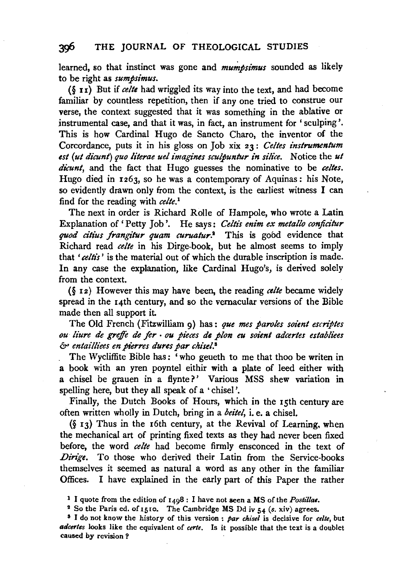### 3cfi THE JOURNAL OF THEOLOGICAL STUDIES

learned, so that instinct was gone and *mumbsimus* sounded as likely to be right as *sumpsimus.* 

(§ u) But if *celte* had wriggled its way into the text, and had become familiar by countless repetition, then if any one tried to construe our verse, the context suggested that it was something in the ablative or instrumental case, and that it was, in fact, an instrument for ' sculping '. This is how Cardinal Hugo de Sancto Charo, the inventor of the Corcordance, puts it in his gloss on Job xix 23: *Gelles instrumentum*  est (ut dicunt) quo literae uel imagines sculpuntur in silice. Notice the ut *dicunt,* and the fact that Hugo guesses the nominative to be *celtes.*  Hugo died in 1263, so he was a contemporary of Aquinas: his Note, so evidently drawn only from the context, is the earliest witness I can find for the reading with *celte. <sup>1</sup>*

The next in order is Richard Rolle of Hampole, who wrote a Latin Explanation of' Petty Job'. He says: *Gettis enim ex metallo conftcitur*  quod citius frangitur quam curuatur.<sup>2</sup> This is good evidence that Richard read *celte* in his Dirge-book, but he almost seems to imply that *'celtis'* is the material out of which the durable inscription is made. In any case the explanation, like Cardinal Hugo's, is derived solely from the context.

(§ 12) However this may have been, the reading *celte* became widely spread in the 14th century, and so the vernacular versions of the Bible made then all support it.

The Old French (Fitzwilliam 9) has: *que mes paroles soient escriptes ou liure de greffe de fer* • *ou pieces de pion eu soient adcertes establiees*  &> *entailliees en pierres dures par chisel.8* 

The Wycliffite Bible has: 'who geueth to me that thoo be writen in a book with an yren poyntel eithir with a plate of leed either with a chisel be grauen in a flynte?' Various MSS shew variation in spelling here, but they all speak of a • chisel '.

Finally, the Dutch Books of Hours, which in the 15th century are often written wholly in Dutch, bring in a *beitel,* i. e. a chisel.

(§ 13) Thus in the 16th century, at the Revival of Learning, when the mechanical art of printing fixed texts as they had never been fixed before, the word *celte* had become firmly ensconced in the text of Dirige. To those who derived their Latin from the Service-books themselves it seemed as natural a word as any other in the familiar Offices. I have explained in the early part of this Paper the rather

<sup>1</sup> I quote from the edition of 1498 : I have not seen a MS of the *Postz1lae.* 

<sup>&</sup>lt;sup>2</sup> So the Paris ed. of 1510. The Cambridge MS Dd iv 54 (s. xiv) agrees.<br><sup>8</sup> I do not know the history of this version : *par chisel* is decisive for *celte*, but

*atiartes* looks like the equivalent of *certe.* Is it possible that the text is a doublet caused by revision ?